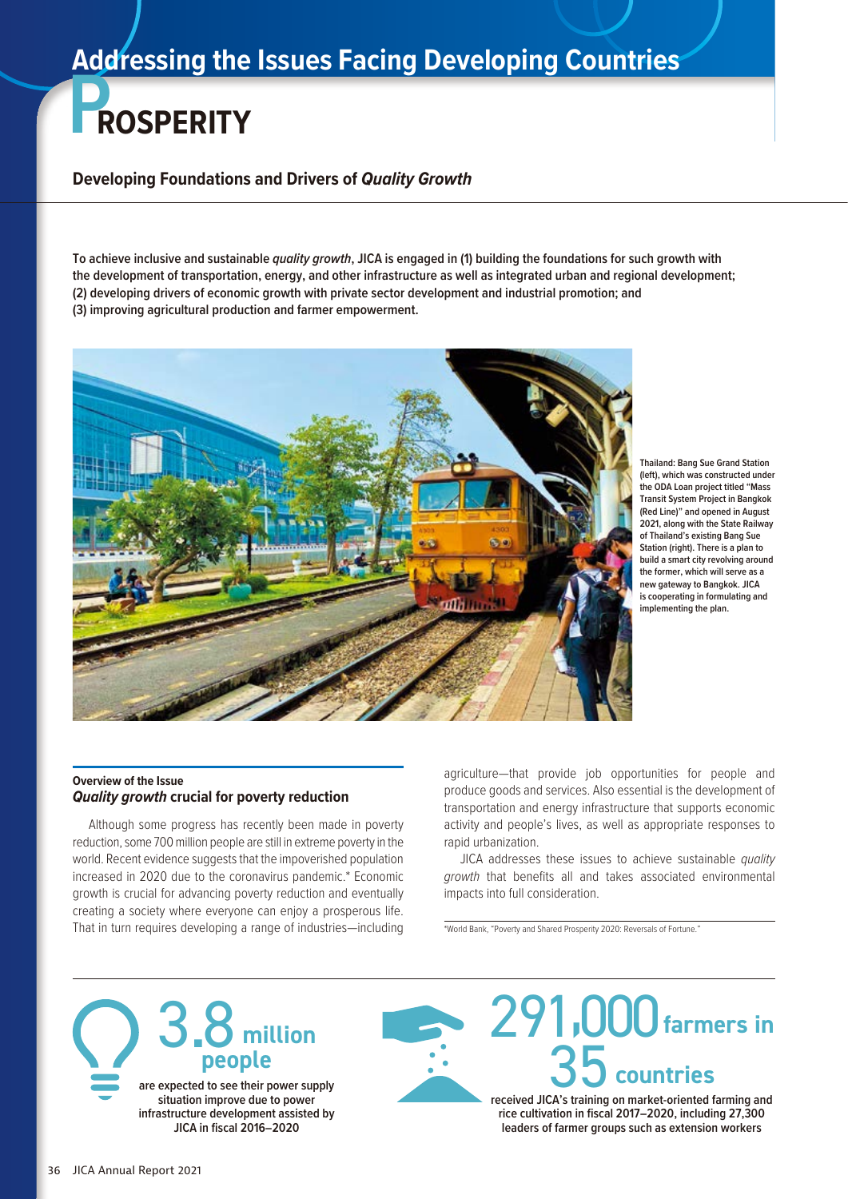# **Addressing the Issues Facing Developing Countries**

# **PROSPERITY**

**Developing Foundations and Drivers of** *Quality Growth*

**To achieve inclusive and sustainable** *quality growth***, JICA is engaged in (1) building the foundations for such growth with the development of transportation, energy, and other infrastructure as well as integrated urban and regional development; (2) developing drivers of economic growth with private sector development and industrial promotion; and (3) improving agricultural production and farmer empowerment.**



**Thailand: Bang Sue Grand Station (left), which was constructed under the ODA Loan project titled "Mass Transit System Project in Bangkok (Red Line)" and opened in August 2021, along with the State Railway of Thailand's existing Bang Sue Station (right). There is a plan to build a smart city revolving around the former, which will serve as a new gateway to Bangkok. JICA is cooperating in formulating and implementing the plan.**

#### **Overview of the Issue** *Quality growth* **crucial for poverty reduction**

Although some progress has recently been made in poverty reduction, some 700 million people are still in extreme poverty in the world. Recent evidence suggests that the impoverished population increased in 2020 due to the coronavirus pandemic.\* Economic growth is crucial for advancing poverty reduction and eventually creating a society where everyone can enjoy a prosperous life. That in turn requires developing a range of industries—including agriculture—that provide job opportunities for people and produce goods and services. Also essential is the development of transportation and energy infrastructure that supports economic activity and people's lives, as well as appropriate responses to rapid urbanization.

JICA addresses these issues to achieve sustainable *quality growth* that benefits all and takes associated environmental impacts into full consideration.

\*World Bank, "Poverty and Shared Prosperity 2020: Reversals of Fortune."



**are expected to see their power supply situation improve due to power infrastructure development assisted by JICA in fiscal 2016–2020**



**rice cultivation in fiscal 2017–2020, including 27,300 leaders of farmer groups such as extension workers**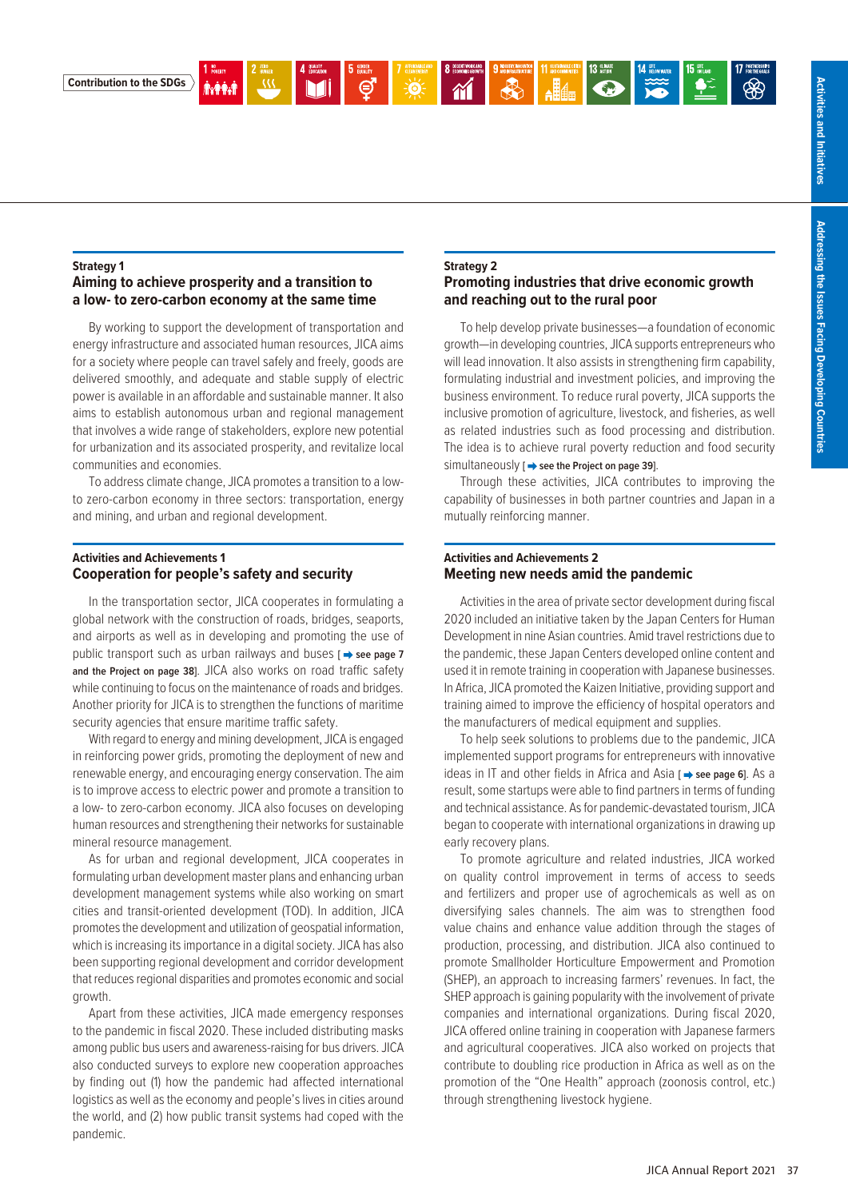

**Contribution to the SDGs**

#### **Strategy 1**

### **Aiming to achieve prosperity and a transition to a low- to zero-carbon economy at the same time**

By working to support the development of transportation and energy infrastructure and associated human resources, JICA aims for a society where people can travel safely and freely, goods are delivered smoothly, and adequate and stable supply of electric power is available in an affordable and sustainable manner. It also aims to establish autonomous urban and regional management that involves a wide range of stakeholders, explore new potential for urbanization and its associated prosperity, and revitalize local communities and economies.

To address climate change, JICA promotes a transition to a lowto zero-carbon economy in three sectors: transportation, energy and mining, and urban and regional development.

#### **Activities and Achievements 1 Cooperation for people's safety and security**

In the transportation sector, JICA cooperates in formulating a global network with the construction of roads, bridges, seaports, and airports as well as in developing and promoting the use of public transport such as urban railways and buses [ $\rightarrow$  see page 7 **and the Project on page 38]**. JICA also works on road traffic safety while continuing to focus on the maintenance of roads and bridges. Another priority for JICA is to strengthen the functions of maritime security agencies that ensure maritime traffic safety.

With regard to energy and mining development, JICA is engaged in reinforcing power grids, promoting the deployment of new and renewable energy, and encouraging energy conservation. The aim is to improve access to electric power and promote a transition to a low- to zero-carbon economy. JICA also focuses on developing human resources and strengthening their networks for sustainable mineral resource management.

As for urban and regional development, JICA cooperates in formulating urban development master plans and enhancing urban development management systems while also working on smart cities and transit-oriented development (TOD). In addition, JICA promotes the development and utilization of geospatial information, which is increasing its importance in a digital society. JICA has also been supporting regional development and corridor development that reduces regional disparities and promotes economic and social growth.

Apart from these activities, JICA made emergency responses to the pandemic in fiscal 2020. These included distributing masks among public bus users and awareness-raising for bus drivers. JICA also conducted surveys to explore new cooperation approaches by finding out (1) how the pandemic had affected international logistics as well as the economy and people's lives in cities around the world, and (2) how public transit systems had coped with the pandemic.

#### **Strategy 2**

#### **Promoting industries that drive economic growth and reaching out to the rural poor**

To help develop private businesses—a foundation of economic growth—in developing countries, JICA supports entrepreneurs who will lead innovation. It also assists in strengthening firm capability, formulating industrial and investment policies, and improving the business environment. To reduce rural poverty, JICA supports the inclusive promotion of agriculture, livestock, and fisheries, as well as related industries such as food processing and distribution. The idea is to achieve rural poverty reduction and food security simultaneously [ $\Rightarrow$  see the Project on page 39].

Through these activities, JICA contributes to improving the capability of businesses in both partner countries and Japan in a mutually reinforcing manner.

#### **Activities and Achievements 2 Meeting new needs amid the pandemic**

Activities in the area of private sector development during fiscal 2020 included an initiative taken by the Japan Centers for Human Development in nine Asian countries. Amid travel restrictions due to the pandemic, these Japan Centers developed online content and used it in remote training in cooperation with Japanese businesses. In Africa, JICA promoted the Kaizen Initiative, providing support and training aimed to improve the efficiency of hospital operators and the manufacturers of medical equipment and supplies.

To help seek solutions to problems due to the pandemic, JICA implemented support programs for entrepreneurs with innovative ideas in IT and other fields in Africa and Asia **[**  $\rightarrow$  **see page 6**]. As a result, some startups were able to find partners in terms of funding and technical assistance. As for pandemic-devastated tourism, JICA began to cooperate with international organizations in drawing up early recovery plans.

To promote agriculture and related industries, JICA worked on quality control improvement in terms of access to seeds and fertilizers and proper use of agrochemicals as well as on diversifying sales channels. The aim was to strengthen food value chains and enhance value addition through the stages of production, processing, and distribution. JICA also continued to promote Smallholder Horticulture Empowerment and Promotion (SHEP), an approach to increasing farmers' revenues. In fact, the SHEP approach is gaining popularity with the involvement of private companies and international organizations. During fiscal 2020, JICA offered online training in cooperation with Japanese farmers and agricultural cooperatives. JICA also worked on projects that contribute to doubling rice production in Africa as well as on the promotion of the "One Health" approach (zoonosis control, etc.) through strengthening livestock hygiene.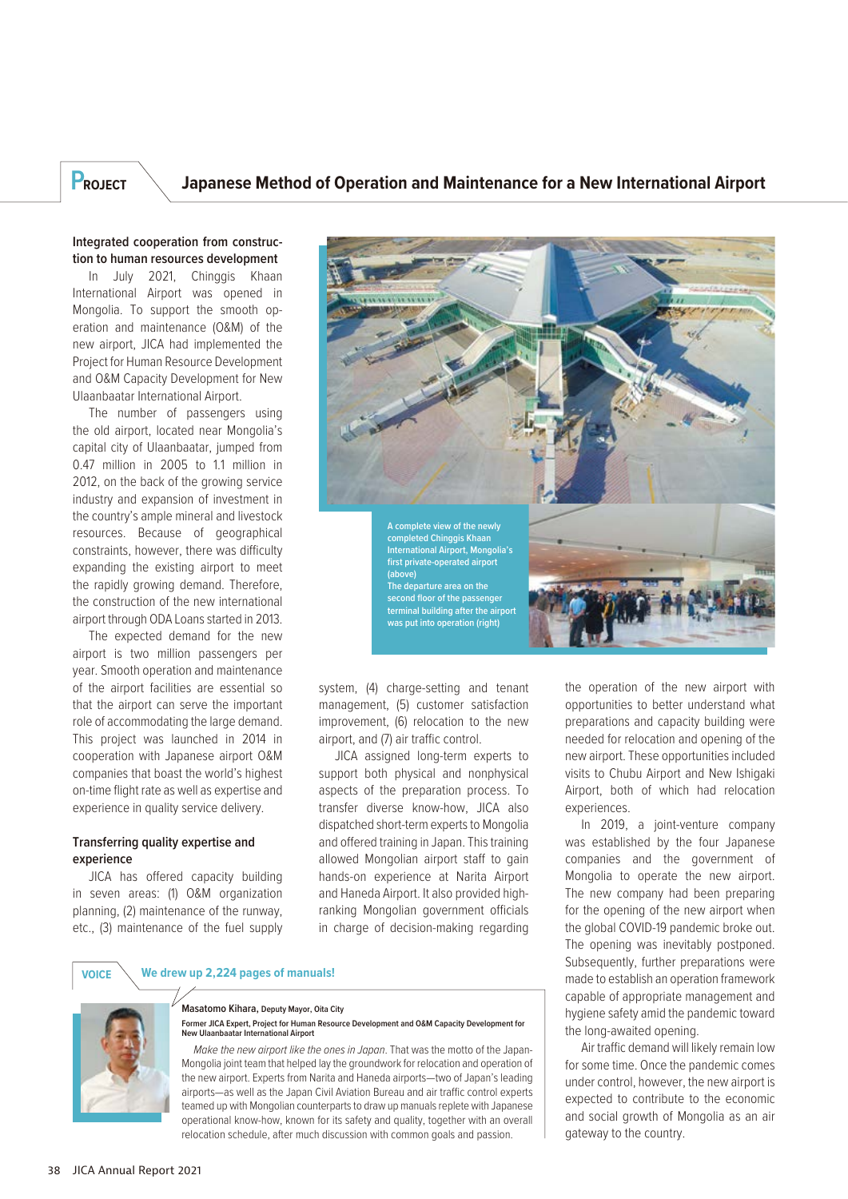## **PROJECT Japanese Method of Operation and Maintenance for a New International Airport**

#### **Integrated cooperation from construction to human resources development**

In July 2021, Chinggis Khaan International Airport was opened in Mongolia. To support the smooth operation and maintenance (O&M) of the new airport, JICA had implemented the Project for Human Resource Development and O&M Capacity Development for New Ulaanbaatar International Airport.

The number of passengers using the old airport, located near Mongolia's capital city of Ulaanbaatar, jumped from 0.47 million in 2005 to 1.1 million in 2012, on the back of the growing service industry and expansion of investment in the country's ample mineral and livestock resources. Because of geographical constraints, however, there was difficulty expanding the existing airport to meet the rapidly growing demand. Therefore, the construction of the new international airport through ODA Loans started in 2013.

The expected demand for the new airport is two million passengers per year. Smooth operation and maintenance of the airport facilities are essential so that the airport can serve the important role of accommodating the large demand. This project was launched in 2014 in cooperation with Japanese airport O&M companies that boast the world's highest on-time flight rate as well as expertise and experience in quality service delivery.

#### **Transferring quality expertise and experience**

JICA has offered capacity building in seven areas: (1) O&M organization planning, (2) maintenance of the runway, etc., (3) maintenance of the fuel supply



system, (4) charge-setting and tenant management, (5) customer satisfaction improvement, (6) relocation to the new airport, and (7) air traffic control.

JICA assigned long-term experts to support both physical and nonphysical aspects of the preparation process. To transfer diverse know-how, JICA also dispatched short-term experts to Mongolia and offered training in Japan. This training allowed Mongolian airport staff to gain hands-on experience at Narita Airport and Haneda Airport. It also provided highranking Mongolian government officials in charge of decision-making regarding

the operation of the new airport with opportunities to better understand what preparations and capacity building were needed for relocation and opening of the new airport. These opportunities included visits to Chubu Airport and New Ishigaki Airport, both of which had relocation experiences.

In 2019, a joint-venture company was established by the four Japanese companies and the government of Mongolia to operate the new airport. The new company had been preparing for the opening of the new airport when the global COVID-19 pandemic broke out. The opening was inevitably postponed. Subsequently, further preparations were made to establish an operation framework capable of appropriate management and hygiene safety amid the pandemic toward the long-awaited opening.

Air traffic demand will likely remain low for some time. Once the pandemic comes under control, however, the new airport is expected to contribute to the economic and social growth of Mongolia as an air gateway to the country.





#### **Masatomo Kihara, Deputy Mayor, Oita City Former JICA Expert, Project for Human Resource Development and O&M Capacity Development for New Ulaanbaatar International Airport**

*Make the new airport like the ones in Japan*. That was the motto of the Japan-Mongolia joint team that helped lay the groundwork for relocation and operation of the new airport. Experts from Narita and Haneda airports—two of Japan's leading airports—as well as the Japan Civil Aviation Bureau and air traffic control experts teamed up with Mongolian counterparts to draw up manuals replete with Japanese operational know-how, known for its safety and quality, together with an overall relocation schedule, after much discussion with common goals and passion.